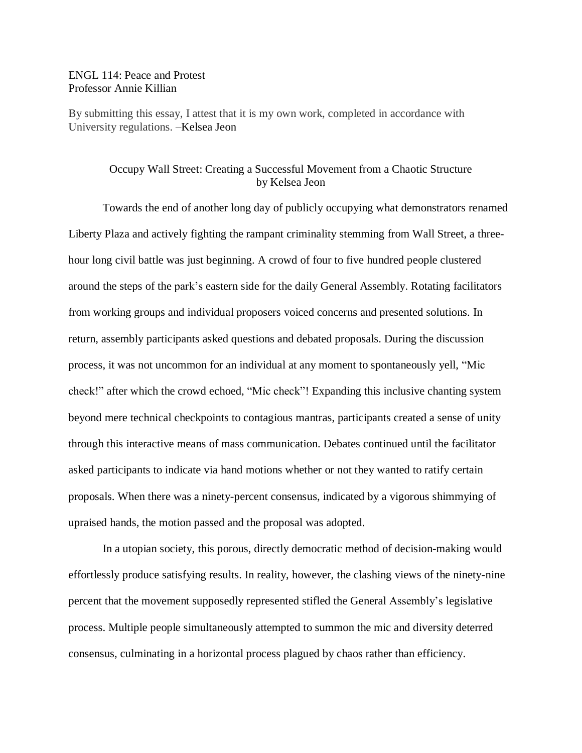## ENGL 114: Peace and Protest Professor Annie Killian

By submitting this essay, I attest that it is my own work, completed in accordance with University regulations. –Kelsea Jeon

## Occupy Wall Street: Creating a Successful Movement from a Chaotic Structure by Kelsea Jeon

Towards the end of another long day of publicly occupying what demonstrators renamed Liberty Plaza and actively fighting the rampant criminality stemming from Wall Street, a threehour long civil battle was just beginning. A crowd of four to five hundred people clustered around the steps of the park's eastern side for the daily General Assembly. Rotating facilitators from working groups and individual proposers voiced concerns and presented solutions. In return, assembly participants asked questions and debated proposals. During the discussion process, it was not uncommon for an individual at any moment to spontaneously yell, "Mic check!" after which the crowd echoed, "Mic check"! Expanding this inclusive chanting system beyond mere technical checkpoints to contagious mantras, participants created a sense of unity through this interactive means of mass communication. Debates continued until the facilitator asked participants to indicate via hand motions whether or not they wanted to ratify certain proposals. When there was a ninety-percent consensus, indicated by a vigorous shimmying of upraised hands, the motion passed and the proposal was adopted.

In a utopian society, this porous, directly democratic method of decision-making would effortlessly produce satisfying results. In reality, however, the clashing views of the ninety-nine percent that the movement supposedly represented stifled the General Assembly's legislative process. Multiple people simultaneously attempted to summon the mic and diversity deterred consensus, culminating in a horizontal process plagued by chaos rather than efficiency.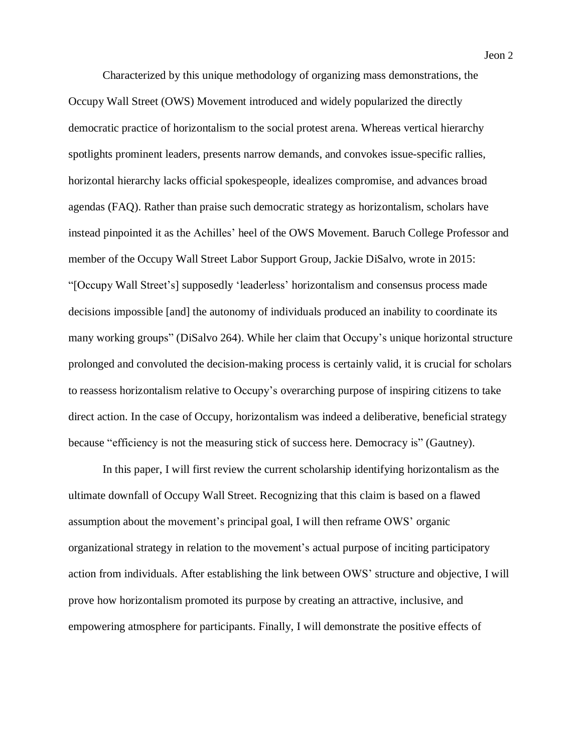Characterized by this unique methodology of organizing mass demonstrations, the Occupy Wall Street (OWS) Movement introduced and widely popularized the directly democratic practice of horizontalism to the social protest arena. Whereas vertical hierarchy spotlights prominent leaders, presents narrow demands, and convokes issue-specific rallies, horizontal hierarchy lacks official spokespeople, idealizes compromise, and advances broad agendas (FAQ). Rather than praise such democratic strategy as horizontalism, scholars have instead pinpointed it as the Achilles' heel of the OWS Movement. Baruch College Professor and member of the Occupy Wall Street Labor Support Group, Jackie DiSalvo, wrote in 2015: "[Occupy Wall Street's] supposedly 'leaderless' horizontalism and consensus process made decisions impossible [and] the autonomy of individuals produced an inability to coordinate its many working groups" (DiSalvo 264). While her claim that Occupy's unique horizontal structure prolonged and convoluted the decision-making process is certainly valid, it is crucial for scholars to reassess horizontalism relative to Occupy's overarching purpose of inspiring citizens to take direct action. In the case of Occupy, horizontalism was indeed a deliberative, beneficial strategy because "efficiency is not the measuring stick of success here. Democracy is" (Gautney).

In this paper, I will first review the current scholarship identifying horizontalism as the ultimate downfall of Occupy Wall Street. Recognizing that this claim is based on a flawed assumption about the movement's principal goal, I will then reframe OWS' organic organizational strategy in relation to the movement's actual purpose of inciting participatory action from individuals. After establishing the link between OWS' structure and objective, I will prove how horizontalism promoted its purpose by creating an attractive, inclusive, and empowering atmosphere for participants. Finally, I will demonstrate the positive effects of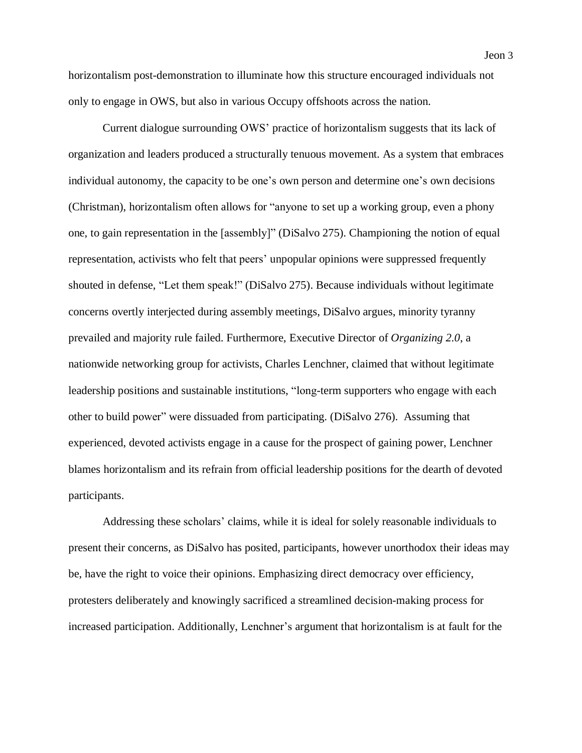Current dialogue surrounding OWS' practice of horizontalism suggests that its lack of organization and leaders produced a structurally tenuous movement. As a system that embraces individual autonomy, the capacity to be one's own person and determine one's own decisions (Christman), horizontalism often allows for "anyone to set up a working group, even a phony one, to gain representation in the [assembly]" (DiSalvo 275). Championing the notion of equal representation, activists who felt that peers' unpopular opinions were suppressed frequently shouted in defense, "Let them speak!" (DiSalvo 275). Because individuals without legitimate concerns overtly interjected during assembly meetings, DiSalvo argues, minority tyranny prevailed and majority rule failed. Furthermore, Executive Director of *Organizing 2.0*, a nationwide networking group for activists, Charles Lenchner, claimed that without legitimate leadership positions and sustainable institutions, "long-term supporters who engage with each other to build power" were dissuaded from participating. (DiSalvo 276). Assuming that experienced, devoted activists engage in a cause for the prospect of gaining power, Lenchner blames horizontalism and its refrain from official leadership positions for the dearth of devoted participants.

Addressing these scholars' claims, while it is ideal for solely reasonable individuals to present their concerns, as DiSalvo has posited, participants, however unorthodox their ideas may be, have the right to voice their opinions. Emphasizing direct democracy over efficiency, protesters deliberately and knowingly sacrificed a streamlined decision-making process for increased participation. Additionally, Lenchner's argument that horizontalism is at fault for the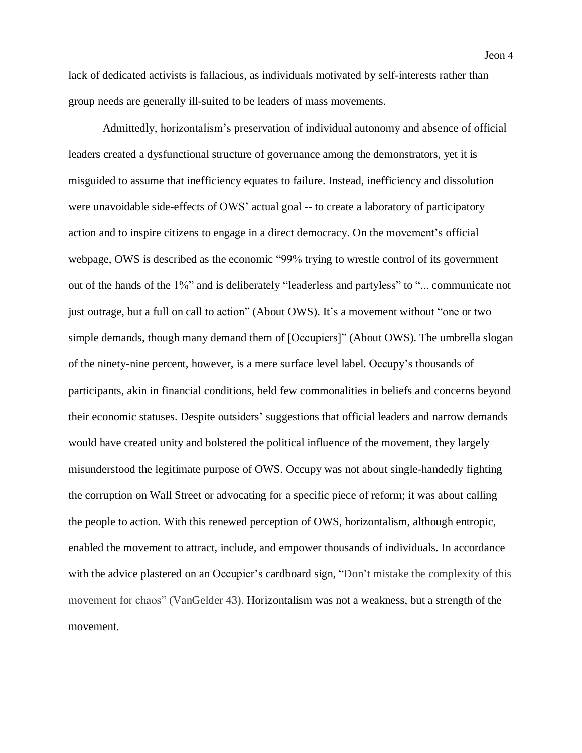lack of dedicated activists is fallacious, as individuals motivated by self-interests rather than group needs are generally ill-suited to be leaders of mass movements.

Admittedly, horizontalism's preservation of individual autonomy and absence of official leaders created a dysfunctional structure of governance among the demonstrators, yet it is misguided to assume that inefficiency equates to failure. Instead, inefficiency and dissolution were unavoidable side-effects of OWS' actual goal -- to create a laboratory of participatory action and to inspire citizens to engage in a direct democracy. On the movement's official webpage, OWS is described as the economic "99% trying to wrestle control of its government out of the hands of the 1%" and is deliberately "leaderless and partyless" to "... communicate not just outrage, but a full on call to action" (About OWS). It's a movement without "one or two simple demands, though many demand them of [Occupiers]" (About OWS). The umbrella slogan of the ninety-nine percent, however, is a mere surface level label. Occupy's thousands of participants, akin in financial conditions, held few commonalities in beliefs and concerns beyond their economic statuses. Despite outsiders' suggestions that official leaders and narrow demands would have created unity and bolstered the political influence of the movement, they largely misunderstood the legitimate purpose of OWS. Occupy was not about single-handedly fighting the corruption on Wall Street or advocating for a specific piece of reform; it was about calling the people to action. With this renewed perception of OWS, horizontalism, although entropic, enabled the movement to attract, include, and empower thousands of individuals. In accordance with the advice plastered on an Occupier's cardboard sign, "Don't mistake the complexity of this movement for chaos" (VanGelder 43). Horizontalism was not a weakness, but a strength of the movement.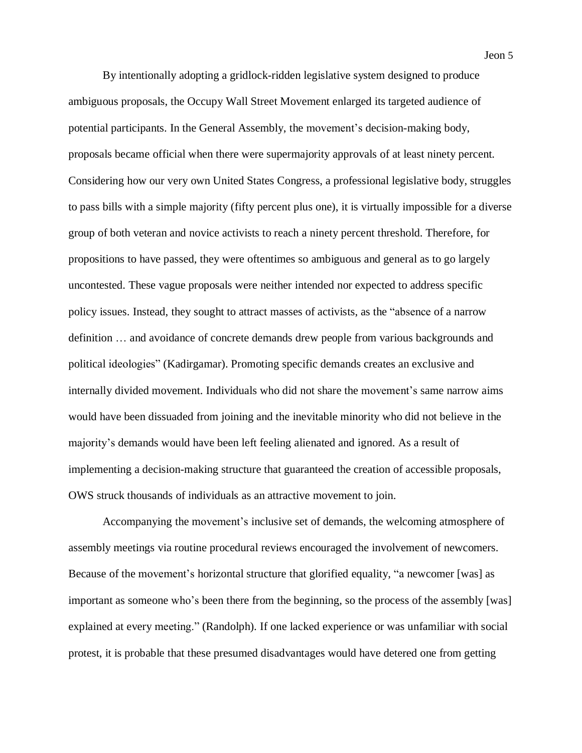By intentionally adopting a gridlock-ridden legislative system designed to produce ambiguous proposals, the Occupy Wall Street Movement enlarged its targeted audience of potential participants. In the General Assembly, the movement's decision-making body, proposals became official when there were supermajority approvals of at least ninety percent. Considering how our very own United States Congress, a professional legislative body, struggles to pass bills with a simple majority (fifty percent plus one), it is virtually impossible for a diverse group of both veteran and novice activists to reach a ninety percent threshold. Therefore, for propositions to have passed, they were oftentimes so ambiguous and general as to go largely uncontested. These vague proposals were neither intended nor expected to address specific policy issues. Instead, they sought to attract masses of activists, as the "absence of a narrow definition … and avoidance of concrete demands drew people from various backgrounds and political ideologies" (Kadirgamar). Promoting specific demands creates an exclusive and internally divided movement. Individuals who did not share the movement's same narrow aims would have been dissuaded from joining and the inevitable minority who did not believe in the majority's demands would have been left feeling alienated and ignored. As a result of implementing a decision-making structure that guaranteed the creation of accessible proposals, OWS struck thousands of individuals as an attractive movement to join.

Accompanying the movement's inclusive set of demands, the welcoming atmosphere of assembly meetings via routine procedural reviews encouraged the involvement of newcomers. Because of the movement's horizontal structure that glorified equality, "a newcomer [was] as important as someone who's been there from the beginning, so the process of the assembly [was] explained at every meeting." (Randolph). If one lacked experience or was unfamiliar with social protest, it is probable that these presumed disadvantages would have detered one from getting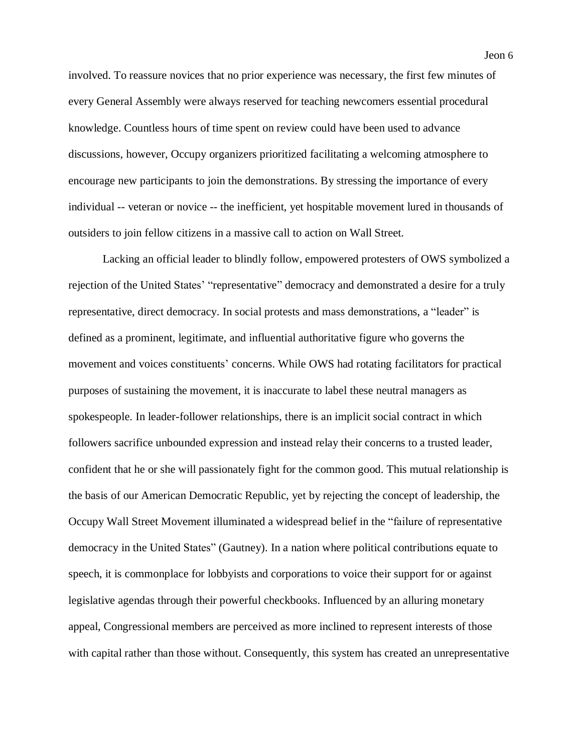involved. To reassure novices that no prior experience was necessary, the first few minutes of every General Assembly were always reserved for teaching newcomers essential procedural knowledge. Countless hours of time spent on review could have been used to advance discussions, however, Occupy organizers prioritized facilitating a welcoming atmosphere to encourage new participants to join the demonstrations. By stressing the importance of every individual -- veteran or novice -- the inefficient, yet hospitable movement lured in thousands of outsiders to join fellow citizens in a massive call to action on Wall Street.

Lacking an official leader to blindly follow, empowered protesters of OWS symbolized a rejection of the United States' "representative" democracy and demonstrated a desire for a truly representative, direct democracy. In social protests and mass demonstrations, a "leader" is defined as a prominent, legitimate, and influential authoritative figure who governs the movement and voices constituents' concerns. While OWS had rotating facilitators for practical purposes of sustaining the movement, it is inaccurate to label these neutral managers as spokespeople. In leader-follower relationships, there is an implicit social contract in which followers sacrifice unbounded expression and instead relay their concerns to a trusted leader, confident that he or she will passionately fight for the common good. This mutual relationship is the basis of our American Democratic Republic, yet by rejecting the concept of leadership, the Occupy Wall Street Movement illuminated a widespread belief in the "failure of representative democracy in the United States" (Gautney). In a nation where political contributions equate to speech, it is commonplace for lobbyists and corporations to voice their support for or against legislative agendas through their powerful checkbooks. Influenced by an alluring monetary appeal, Congressional members are perceived as more inclined to represent interests of those with capital rather than those without. Consequently, this system has created an unrepresentative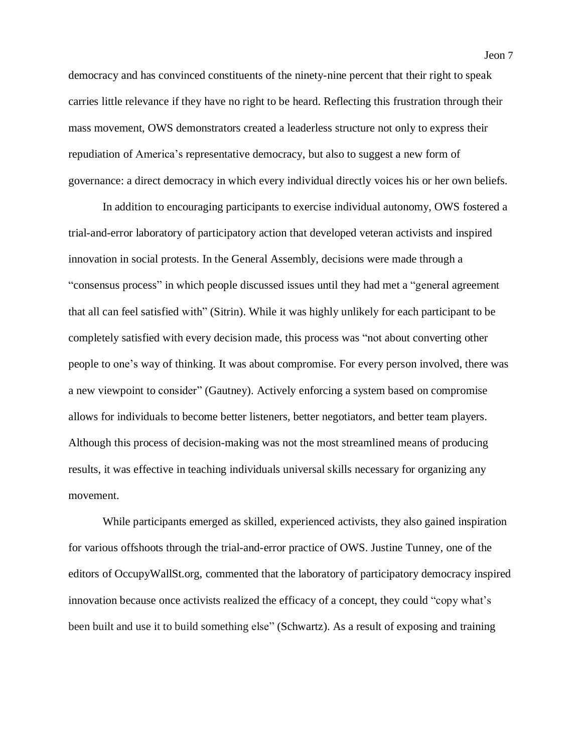democracy and has convinced constituents of the ninety-nine percent that their right to speak carries little relevance if they have no right to be heard. Reflecting this frustration through their mass movement, OWS demonstrators created a leaderless structure not only to express their repudiation of America's representative democracy, but also to suggest a new form of governance: a direct democracy in which every individual directly voices his or her own beliefs.

In addition to encouraging participants to exercise individual autonomy, OWS fostered a trial-and-error laboratory of participatory action that developed veteran activists and inspired innovation in social protests. In the General Assembly, decisions were made through a "consensus process" in which people discussed issues until they had met a "general agreement that all can feel satisfied with" (Sitrin). While it was highly unlikely for each participant to be completely satisfied with every decision made, this process was "not about converting other people to one's way of thinking. It was about compromise. For every person involved, there was a new viewpoint to consider" (Gautney). Actively enforcing a system based on compromise allows for individuals to become better listeners, better negotiators, and better team players. Although this process of decision-making was not the most streamlined means of producing results, it was effective in teaching individuals universal skills necessary for organizing any movement.

While participants emerged as skilled, experienced activists, they also gained inspiration for various offshoots through the trial-and-error practice of OWS. Justine Tunney, one of the editors of OccupyWallSt.org, commented that the laboratory of participatory democracy inspired innovation because once activists realized the efficacy of a concept, they could "copy what's been built and use it to build something else" (Schwartz). As a result of exposing and training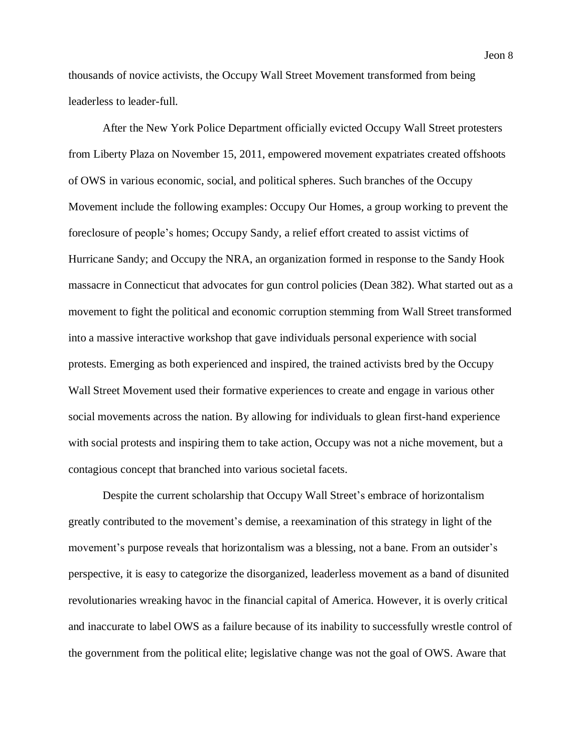thousands of novice activists, the Occupy Wall Street Movement transformed from being leaderless to leader-full.

After the New York Police Department officially evicted Occupy Wall Street protesters from Liberty Plaza on November 15, 2011, empowered movement expatriates created offshoots of OWS in various economic, social, and political spheres. Such branches of the Occupy Movement include the following examples: Occupy Our Homes, a group working to prevent the foreclosure of people's homes; Occupy Sandy, a relief effort created to assist victims of Hurricane Sandy; and Occupy the NRA, an organization formed in response to the Sandy Hook massacre in Connecticut that advocates for gun control policies (Dean 382). What started out as a movement to fight the political and economic corruption stemming from Wall Street transformed into a massive interactive workshop that gave individuals personal experience with social protests. Emerging as both experienced and inspired, the trained activists bred by the Occupy Wall Street Movement used their formative experiences to create and engage in various other social movements across the nation. By allowing for individuals to glean first-hand experience with social protests and inspiring them to take action, Occupy was not a niche movement, but a contagious concept that branched into various societal facets.

Despite the current scholarship that Occupy Wall Street's embrace of horizontalism greatly contributed to the movement's demise, a reexamination of this strategy in light of the movement's purpose reveals that horizontalism was a blessing, not a bane. From an outsider's perspective, it is easy to categorize the disorganized, leaderless movement as a band of disunited revolutionaries wreaking havoc in the financial capital of America. However, it is overly critical and inaccurate to label OWS as a failure because of its inability to successfully wrestle control of the government from the political elite; legislative change was not the goal of OWS. Aware that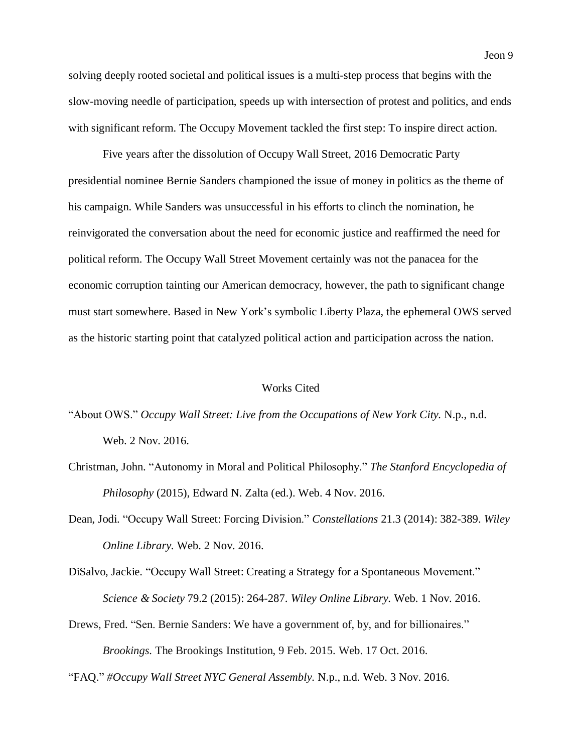solving deeply rooted societal and political issues is a multi-step process that begins with the slow-moving needle of participation, speeds up with intersection of protest and politics, and ends with significant reform. The Occupy Movement tackled the first step: To inspire direct action.

Five years after the dissolution of Occupy Wall Street, 2016 Democratic Party presidential nominee Bernie Sanders championed the issue of money in politics as the theme of his campaign. While Sanders was unsuccessful in his efforts to clinch the nomination, he reinvigorated the conversation about the need for economic justice and reaffirmed the need for political reform. The Occupy Wall Street Movement certainly was not the panacea for the economic corruption tainting our American democracy, however, the path to significant change must start somewhere. Based in New York's symbolic Liberty Plaza, the ephemeral OWS served as the historic starting point that catalyzed political action and participation across the nation.

## Works Cited

"About OWS." *Occupy Wall Street: Live from the Occupations of New York City.* N.p., n.d. Web. 2 Nov. 2016.

- Christman, John. "Autonomy in Moral and Political Philosophy." *The Stanford Encyclopedia of Philosophy* (2015), Edward N. Zalta (ed.). Web. 4 Nov. 2016.
- Dean, Jodi. "Occupy Wall Street: Forcing Division." *Constellations* 21.3 (2014): 382-389. *Wiley Online Library.* Web. 2 Nov. 2016.
- DiSalvo, Jackie. "Occupy Wall Street: Creating a Strategy for a Spontaneous Movement." *Science & Society* 79.2 (2015): 264-287. *Wiley Online Library.* Web. 1 Nov. 2016.
- Drews, Fred. "Sen. Bernie Sanders: We have a government of, by, and for billionaires." *Brookings.* The Brookings Institution, 9 Feb. 2015. Web. 17 Oct. 2016.

"FAQ." *#Occupy Wall Street NYC General Assembly.* N.p., n.d. Web. 3 Nov. 2016.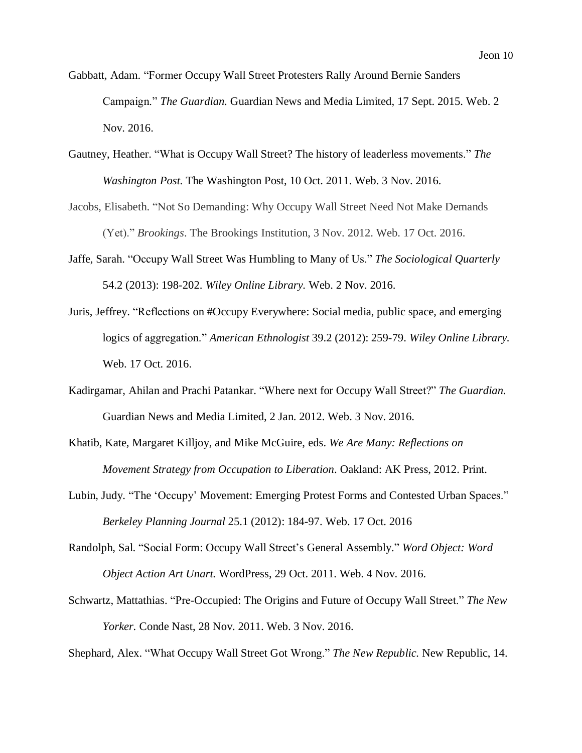- Gabbatt, Adam. "Former Occupy Wall Street Protesters Rally Around Bernie Sanders Campaign." *The Guardian.* Guardian News and Media Limited, 17 Sept. 2015. Web. 2 Nov. 2016.
- Gautney, Heather. "What is Occupy Wall Street? The history of leaderless movements." *The Washington Post.* The Washington Post, 10 Oct. 2011. Web. 3 Nov. 2016.
- Jacobs, Elisabeth. "Not So Demanding: Why Occupy Wall Street Need Not Make Demands (Yet)." *Brookings*. The Brookings Institution, 3 Nov. 2012. Web. 17 Oct. 2016.
- Jaffe, Sarah. "Occupy Wall Street Was Humbling to Many of Us." *The Sociological Quarterly* 54.2 (2013): 198-202. *Wiley Online Library.* Web. 2 Nov. 2016.
- Juris, Jeffrey. "Reflections on #Occupy Everywhere: Social media, public space, and emerging logics of aggregation." *American Ethnologist* 39.2 (2012): 259-79. *Wiley Online Library.* Web. 17 Oct. 2016.
- Kadirgamar, Ahilan and Prachi Patankar. "Where next for Occupy Wall Street?" *The Guardian.* Guardian News and Media Limited, 2 Jan. 2012. Web. 3 Nov. 2016.
- Khatib, Kate, Margaret Killjoy, and Mike McGuire, eds. *We Are Many: Reflections on Movement Strategy from Occupation to Liberation*. Oakland: AK Press, 2012. Print.
- Lubin, Judy. "The 'Occupy' Movement: Emerging Protest Forms and Contested Urban Spaces." *Berkeley Planning Journal* 25.1 (2012): 184-97. Web. 17 Oct. 2016
- Randolph, Sal. "Social Form: Occupy Wall Street's General Assembly." *Word Object: Word Object Action Art Unart.* WordPress, 29 Oct. 2011. Web. 4 Nov. 2016.
- Schwartz, Mattathias. "Pre-Occupied: The Origins and Future of Occupy Wall Street." *The New Yorker.* Conde Nast, 28 Nov. 2011. Web. 3 Nov. 2016.

Shephard, Alex. "What Occupy Wall Street Got Wrong." *The New Republic.* New Republic, 14.